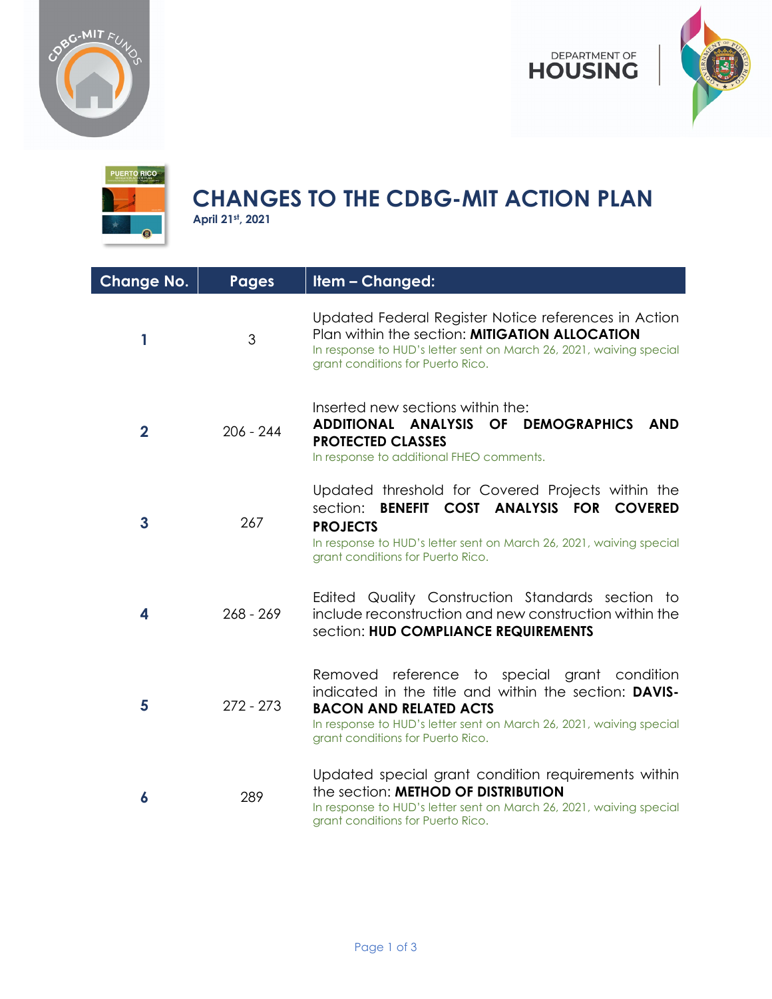





## **CHANGES TO THE CDBG-MIT ACTION PLAN**

**April 21st, 2021**

| <b>Change No.</b> | <b>Pages</b> | Item - Changed:                                                                                                                                                                                                                                    |
|-------------------|--------------|----------------------------------------------------------------------------------------------------------------------------------------------------------------------------------------------------------------------------------------------------|
| 1                 | 3            | Updated Federal Register Notice references in Action<br>Plan within the section: MITIGATION ALLOCATION<br>In response to HUD's letter sent on March 26, 2021, waiving special<br>grant conditions for Puerto Rico.                                 |
| $\mathbf{2}$      | $206 - 244$  | Inserted new sections within the:<br>ADDITIONAL ANALYSIS OF DEMOGRAPHICS<br><b>AND</b><br><b>PROTECTED CLASSES</b><br>In response to additional FHEO comments.                                                                                     |
| $\mathbf{3}$      | 267          | Updated threshold for Covered Projects within the<br>section: BENEFIT COST ANALYSIS FOR COVERED<br><b>PROJECTS</b><br>In response to HUD's letter sent on March 26, 2021, waiving special<br>grant conditions for Puerto Rico.                     |
| 4                 | $268 - 269$  | Edited Quality Construction Standards section to<br>include reconstruction and new construction within the<br>section: HUD COMPLIANCE REQUIREMENTS                                                                                                 |
| 5                 | $272 - 273$  | Removed reference to special grant condition<br>indicated in the title and within the section: DAVIS-<br><b>BACON AND RELATED ACTS</b><br>In response to HUD's letter sent on March 26, 2021, waiving special<br>grant conditions for Puerto Rico. |
| 6                 | 289          | Updated special grant condition requirements within<br>the section: METHOD OF DISTRIBUTION<br>In response to HUD's letter sent on March 26, 2021, waiving special<br>grant conditions for Puerto Rico.                                             |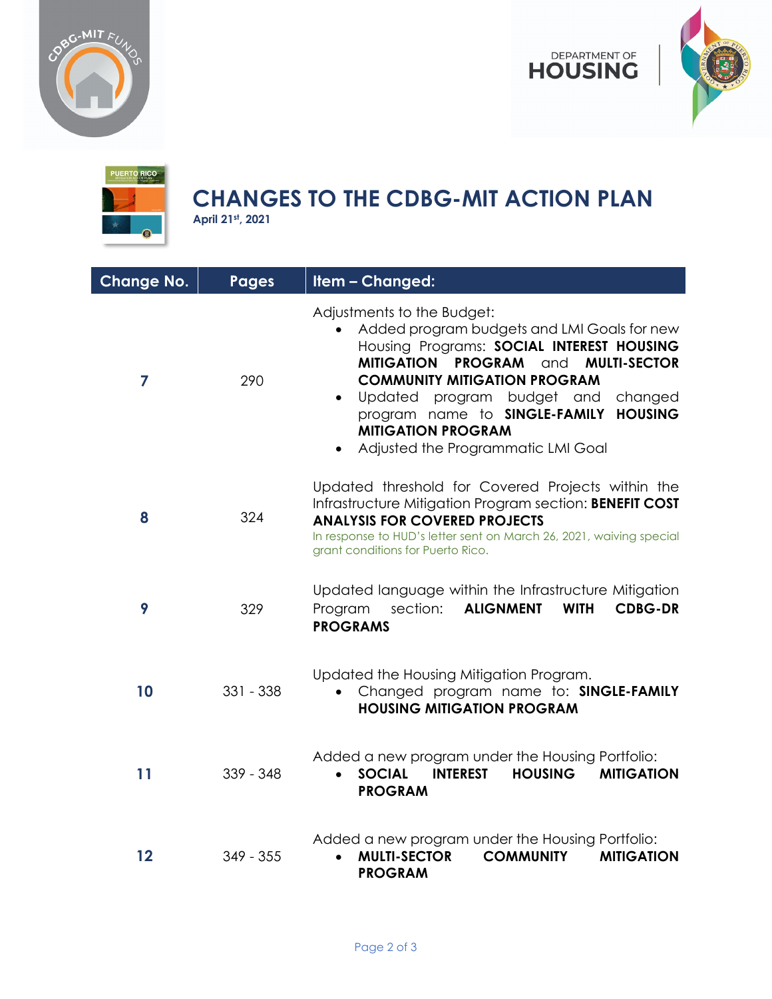





## **CHANGES TO THE CDBG-MIT ACTION PLAN**

**April 21st, 2021**

| <b>Change No.</b> | <b>Pages</b> | Item - Changed:                                                                                                                                                                                                                                                                                                                                                                                   |
|-------------------|--------------|---------------------------------------------------------------------------------------------------------------------------------------------------------------------------------------------------------------------------------------------------------------------------------------------------------------------------------------------------------------------------------------------------|
| 7                 | 290          | Adjustments to the Budget:<br>Added program budgets and LMI Goals for new<br>$\bullet$<br>Housing Programs: SOCIAL INTEREST HOUSING<br><b>MITIGATION PROGRAM</b> and<br><b>MULTI-SECTOR</b><br><b>COMMUNITY MITIGATION PROGRAM</b><br>Updated program budget and<br>changed<br><b>HOUSING</b><br>program name to SINGLE-FAMILY<br><b>MITIGATION PROGRAM</b><br>Adjusted the Programmatic LMI Goal |
| 8                 | 324          | Updated threshold for Covered Projects within the<br>Infrastructure Mitigation Program section: BENEFIT COST<br><b>ANALYSIS FOR COVERED PROJECTS</b><br>In response to HUD's letter sent on March 26, 2021, waiving special<br>grant conditions for Puerto Rico.                                                                                                                                  |
| 9                 | 329          | Updated language within the Infrastructure Mitigation<br>section:<br><b>ALIGNMENT</b><br>Program<br><b>WITH</b><br><b>CDBG-DR</b><br><b>PROGRAMS</b>                                                                                                                                                                                                                                              |
| 10                | $331 - 338$  | Updated the Housing Mitigation Program.<br>Changed program name to: SINGLE-FAMILY<br>$\bullet$<br><b>HOUSING MITIGATION PROGRAM</b>                                                                                                                                                                                                                                                               |
| 11                | $339 - 348$  | Added a new program under the Housing Portfolio:<br><b>SOCIAL</b><br><b>HOUSING</b><br><b>MITIGATION</b><br><b>INTEREST</b><br><b>PROGRAM</b>                                                                                                                                                                                                                                                     |
| 12                | $349 - 355$  | Added a new program under the Housing Portfolio:<br><b>MULTI-SECTOR</b><br><b>COMMUNITY</b><br><b>MITIGATION</b><br>$\bullet$<br><b>PROGRAM</b>                                                                                                                                                                                                                                                   |